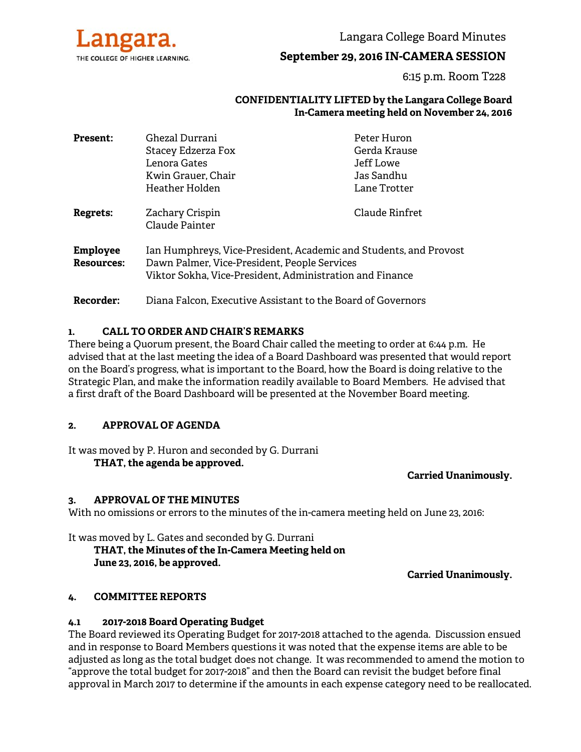

Langara College Board Minutes

# **September 29, 2016 IN-CAMERA SESSION**

6:15 p.m. Room T228

#### **CONFIDENTIALITY LIFTED by the Langara College Board In-Camera meeting held on November 24, 2016**

| <b>Present:</b>               | Ghezal Durrani                                                                                                                                                                | Peter Huron    |
|-------------------------------|-------------------------------------------------------------------------------------------------------------------------------------------------------------------------------|----------------|
|                               | Stacey Edzerza Fox                                                                                                                                                            | Gerda Krause   |
|                               | Lenora Gates                                                                                                                                                                  | Jeff Lowe      |
|                               | Kwin Grauer, Chair                                                                                                                                                            | Jas Sandhu     |
|                               | Heather Holden                                                                                                                                                                | Lane Trotter   |
| Regrets:                      | Zachary Crispin<br>Claude Painter                                                                                                                                             | Claude Rinfret |
| <b>Employee</b><br>Resources: | Ian Humphreys, Vice-President, Academic and Students, and Provost<br>Dawn Palmer, Vice-President, People Services<br>Viktor Sokha, Vice-President, Administration and Finance |                |
| Recorder:                     | Diana Falcon, Executive Assistant to the Board of Governors                                                                                                                   |                |

#### **1. CALL TO ORDER AND CHAIR'S REMARKS**

There being a Quorum present, the Board Chair called the meeting to order at 6:44 p.m. He advised that at the last meeting the idea of a Board Dashboard was presented that would report on the Board's progress, what is important to the Board, how the Board is doing relative to the Strategic Plan, and make the information readily available to Board Members. He advised that a first draft of the Board Dashboard will be presented at the November Board meeting.

#### **2. APPROVAL OF AGENDA**

It was moved by P. Huron and seconded by G. Durrani **THAT, the agenda be approved.** 

#### **Carried Unanimously.**

#### **3. APPROVAL OF THE MINUTES**

With no omissions or errors to the minutes of the in-camera meeting held on June 23, 2016:

It was moved by L. Gates and seconded by G. Durrani  **THAT, the Minutes of the In-Camera Meeting held on June 23, 2016, be approved.** 

**Carried Unanimously.** 

## **4. COMMITTEE REPORTS**

#### **4.1 2017-2018 Board Operating Budget**

The Board reviewed its Operating Budget for 2017-2018 attached to the agenda. Discussion ensued and in response to Board Members questions it was noted that the expense items are able to be adjusted as long as the total budget does not change. It was recommended to amend the motion to "approve the total budget for 2017-2018" and then the Board can revisit the budget before final approval in March 2017 to determine if the amounts in each expense category need to be reallocated.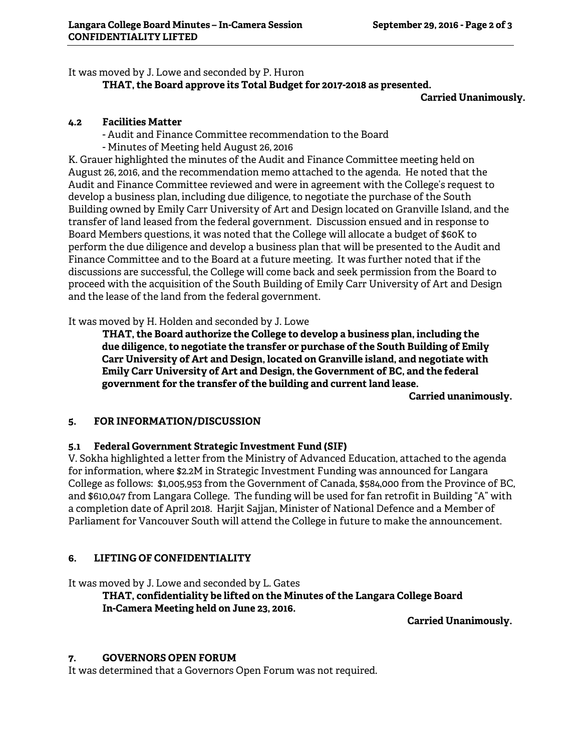It was moved by J. Lowe and seconded by P. Huron

## **THAT, the Board approve its Total Budget for 2017-2018 as presented.**

**Carried Unanimously.** 

## **4.2 Facilities Matter**

- Audit and Finance Committee recommendation to the Board

- Minutes of Meeting held August 26, 2016

K. Grauer highlighted the minutes of the Audit and Finance Committee meeting held on August 26, 2016, and the recommendation memo attached to the agenda. He noted that the Audit and Finance Committee reviewed and were in agreement with the College's request to develop a business plan, including due diligence, to negotiate the purchase of the South Building owned by Emily Carr University of Art and Design located on Granville Island, and the transfer of land leased from the federal government. Discussion ensued and in response to Board Members questions, it was noted that the College will allocate a budget of \$60K to perform the due diligence and develop a business plan that will be presented to the Audit and Finance Committee and to the Board at a future meeting. It was further noted that if the discussions are successful, the College will come back and seek permission from the Board to proceed with the acquisition of the South Building of Emily Carr University of Art and Design and the lease of the land from the federal government.

It was moved by H. Holden and seconded by J. Lowe

 **THAT, the Board authorize the College to develop a business plan, including the due diligence, to negotiate the transfer or purchase of the South Building of Emily Carr University of Art and Design, located on Granville island, and negotiate with Emily Carr University of Art and Design, the Government of BC, and the federal government for the transfer of the building and current land lease.** 

**Carried unanimously.** 

## **5. FOR INFORMATION/DISCUSSION**

## **5.1 Federal Government Strategic Investment Fund (SIF)**

V. Sokha highlighted a letter from the Ministry of Advanced Education, attached to the agenda for information, where \$2.2M in Strategic Investment Funding was announced for Langara College as follows: \$1,005,953 from the Government of Canada, \$584,000 from the Province of BC, and \$610,047 from Langara College. The funding will be used for fan retrofit in Building "A" with a completion date of April 2018. Harjit Sajjan, Minister of National Defence and a Member of Parliament for Vancouver South will attend the College in future to make the announcement.

# **6. LIFTING OF CONFIDENTIALITY**

It was moved by J. Lowe and seconded by L. Gates

**THAT, confidentiality be lifted on the Minutes of the Langara College Board In-Camera Meeting held on June 23, 2016.** 

**Carried Unanimously.** 

## **7. GOVERNORS OPEN FORUM**

It was determined that a Governors Open Forum was not required.